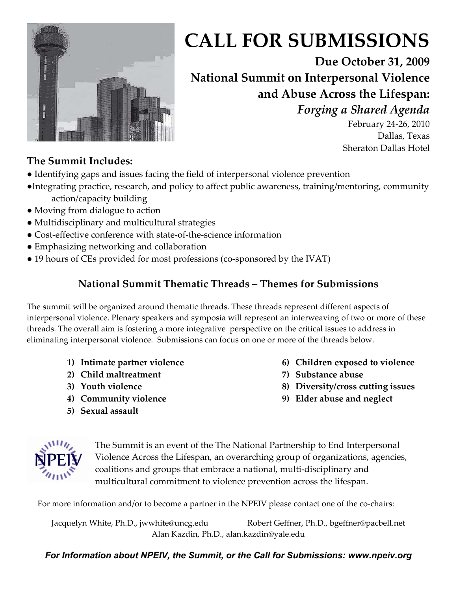

# **CALL FOR SUBMISSIONS**

**Due October 31, 2009 National Summit on Interpersonal Violence and Abuse Across the Lifespan:**  *Forging a Shared Agenda* 

February 24-26, 2010 Dallas, Texas Sheraton Dallas Hotel

# **The Summit Includes:**

- Identifying gaps and issues facing the field of interpersonal violence prevention
- ●Integrating practice, research, and policy to affect public awareness, training/mentoring, community action/capacity building
- Moving from dialogue to action
- Multidisciplinary and multicultural strategies
- Cost-effective conference with state-of-the-science information
- Emphasizing networking and collaboration
- 19 hours of CEs provided for most professions (co-sponsored by the IVAT)

### **National Summit Thematic Threads – Themes for Submissions**

The summit will be organized around thematic threads. These threads represent different aspects of interpersonal violence. Plenary speakers and symposia will represent an interweaving of two or more of these threads. The overall aim is fostering a more integrative perspective on the critical issues to address in eliminating interpersonal violence. Submissions can focus on one or more of the threads below.

- **1) Intimate partner violence**
- **2) Child maltreatment**
- **3) Youth violence**
- **4) Community violence**
- **5) Sexual assault**
- **6) Children exposed to violence**
- **7) Substance abuse**
- **8) Diversity/cross cutting issues**
- **9) Elder abuse and neglect**



The Summit is an event of the The National Partnership to End Interpersonal Violence Across the Lifespan, an overarching group of organizations, agencies, coalitions and groups that embrace a national, multi-disciplinary and multicultural commitment to violence prevention across the lifespan.

For more information and/or to become a partner in the NPEIV please contact one of the co-chairs:

Jacquelyn White, Ph.D., jwwhite@uncg.edu Robert Geffner, Ph.D., bgeffner@pacbell.net Alan Kazdin, Ph.D., alan.kazdin@yale.edu

#### *For Information about NPEIV, the Summit, or the Call for Submissions: www.npeiv.org*